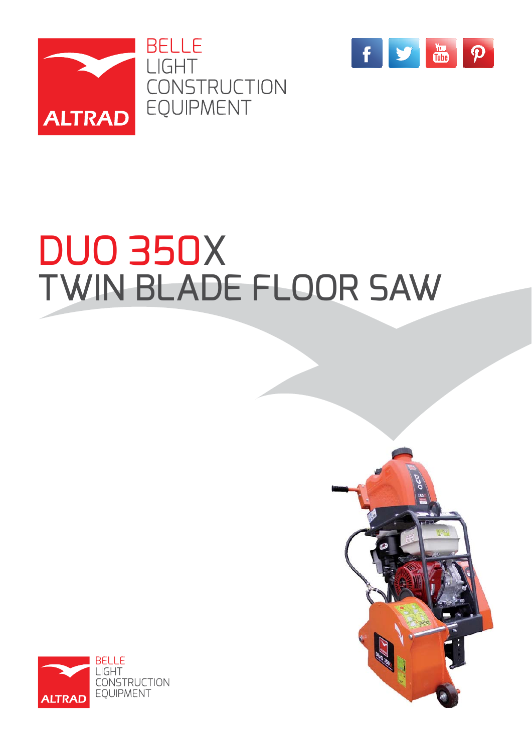



## DUO 350X TWIN BLADE FLOOR SAW